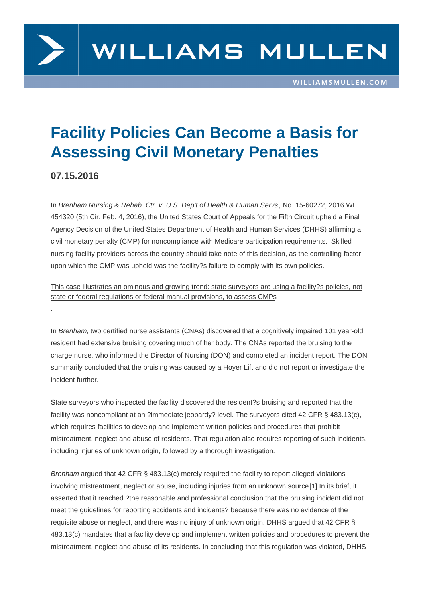## Facility Policies Can Become a Basis for Assessing Civil Monetary Penalties

07.15.2016

.

In Brenham Nursing & Rehab. Ctr. v. U.S. Dep't of Health & Human Servs., No. 15-60272, 2016 WL 454320 (5th Cir. Feb. 4, 2016), the United States Court of Appeals for the Fifth Circuit upheld a Final Agency Decision of the United States Department of Health and Human Services (DHHS) affirming a civil monetary penalty (CMP) for noncompliance with Medicare participation requirements. Skilled nursing facility providers across the country should take note of this decision, as the controlling factor upon which the CMP was upheld was the facility?s failure to comply with its own policies.

This case illustrates an ominous and growing trend: state surveyors are using a facility?s policies, not state or federal regulations or federal manual provisions, to assess CMPs

In Brenham, two certified nurse assistants (CNAs) discovered that a cognitively impaired 101 year-old resident had extensive bruising covering much of her body. The CNAs reported the bruising to the charge nurse, who informed the Director of Nursing (DON) and completed an incident report. The DON summarily concluded that the bruising was caused by a Hoyer Lift and did not report or investigate the incident further.

State surveyors who inspected the facility discovered the resident?s bruising and reported that the facility was noncompliant at an ?immediate jeopardy? level. The surveyors cited 42 CFR § 483.13(c), which requires facilities to develop and implement written policies and procedures that prohibit mistreatment, neglect and abuse of residents. That regulation also requires reporting of such incidents, including injuries of unknown origin, followed by a thorough investigation.

Brenham argued that 42 CFR § 483.13(c) merely required the facility to report alleged violations involving mistreatment, neglect or abuse, including injuries from an unknown source.[1] In its brief, it asserted that it reached ?the reasonable and professional conclusion that the bruising incident did not meet the guidelines for reporting accidents and incidents? because there was no evidence of the requisite abuse or neglect, and there was no injury of unknown origin. DHHS argue[d th](/printpdf/44816#_ftn1)at 42 CFR § 483.13(c) mandates that a facility develop and implement written policies and procedures to prevent the mistreatment, neglect and abuse of its residents. In concluding that this regulation was violated, DHHS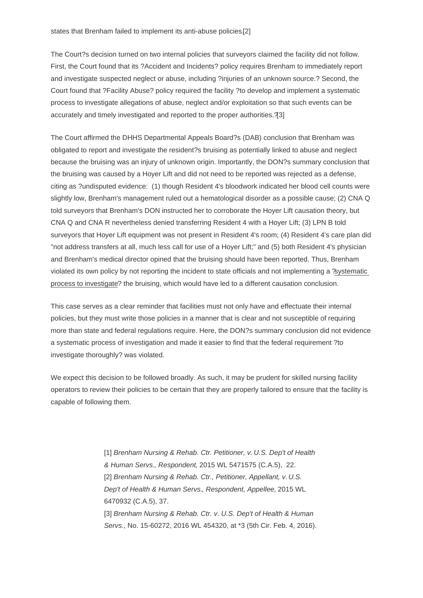The Court?s decision turned on two internal policies that surveyors claimed the facility did not follow. First, the Court found that its ?Accident and Incidents? policy r[equ](/printpdf/44816#_ftn2)ires Brenham to immediately report and investigate suspected neglect or abuse, including ?injuries of an unknown source.? Second, the Court found that ?Facility Abuse? policy required the facility ?to develop and implement a systematic process to investigate allegations of abuse, neglect and/or exploitation so that such events can be accurately and timely investigated and reported to the proper authorities.?[3]

The Court affirmed the DHHS Departmental Appeals Board?s (DAB) conclusion that Brenham was obligated to report and investigate the resident?s bruising as potentially li[nke](/printpdf/44816#_ftn3)d to abuse and neglect because the bruising was an injury of unknown origin. Importantly, the DON?s summary conclusion that the bruising was caused by a Hoyer Lift and did not need to be reported was rejected as a defense, citing as ?undisputed evidence: (1) though Resident 4's bloodwork indicated her blood cell counts were slightly low, Brenham's management ruled out a hematological disorder as a possible cause; (2) CNA Q told surveyors that Brenham's DON instructed her to corroborate the Hoyer Lift causation theory, but CNA Q and CNA R nevertheless denied transferring Resident 4 with a Hoyer Lift; (3) LPN B told surveyors that Hoyer Lift equipment was not present in Resident 4's room; (4) Resident 4's care plan did "not address transfers at all, much less call for use of a Hoyer Lift;" and (5) both Resident 4's physician and Brenham's medical director opined that the bruising should have been reported. Thus, Brenham violated its own policy by not reporting the incident to state officials and not implementing a ?systematic process to investigate? the bruising, which would have led to a different causation conclusion.

This case serves as a clear reminder that facilities must not only have and effectuate their internal policies, but they must write those policies in a manner that is clear and not susceptible of requiring more than state and federal regulations require. Here, the DON?s summary conclusion did not evidence a systematic process of investigation and made it easier to find that the federal requirement ?to investigate thoroughly? was violated.

We expect this decision to be followed broadly. As such, it may be prudent for skilled nursing facility operators to review their policies to be certain that they are properly tailored to ensure that the facility is capable of following them.

> [1] Brenham Nursing & Rehab. Ctr. Petitioner, v. U.S. Dep't of Health & Human Servs., Respondent, 2015 WL 5471575 (C.A.5), 22. [2] Brenham Nursing & Rehab. Ctr., Petitioner, Appellant, v. U.S. [De](/printpdf/44816#_ftnref1)p't of Health & Human Servs., Respondent, Appellee, 2015 WL 6470932 (C.A.5), 37. [\[3\]](/printpdf/44816#_ftnref2) Brenham Nursing & Rehab. Ctr. v. U.S. Dep't of Health & Human Servs., No. 15-60272, 2016 WL 454320, at \*3 (5th Cir. Feb. 4, 2016).